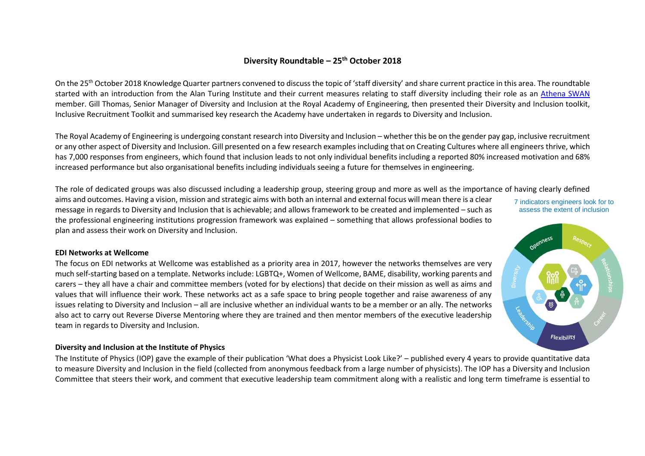# **Diversity Roundtable – 25th October 2018**

On the 25<sup>th</sup> October 2018 Knowledge Quarter partners convened to discuss the topic of 'staff diversity' and share current practice in this area. The roundtable started with an introduction from the Alan Turing Institute and their current measures relating to staff diversity including their role as an [Athena SWAN](https://www.ecu.ac.uk/equality-charters/athena-swan/) member. Gill Thomas, Senior Manager of Diversity and Inclusion at the Royal Academy of Engineering, then presented their Diversity and Inclusion toolkit, Inclusive Recruitment Toolkit and summarised key research the Academy have undertaken in regards to Diversity and Inclusion.

The Royal Academy of Engineering is undergoing constant research into Diversity and Inclusion – whether this be on the gender pay gap, inclusive recruitment or any other aspect of Diversity and Inclusion. Gill presented on a few research examples including that on Creating Cultures where all engineers thrive, which has 7,000 responses from engineers, which found that inclusion leads to not only individual benefits including a reported 80% increased motivation and 68% increased performance but also organisational benefits including individuals seeing a future for themselves in engineering.

The role of dedicated groups was also discussed including a leadership group, steering group and more as well as the importance of having clearly defined

aims and outcomes. Having a vision, mission and strategic aims with both an internal and external focus will mean there is a clear message in regards to Diversity and Inclusion that is achievable; and allows framework to be created and implemented – such as the professional engineering institutions progression framework was explained – something that allows professional bodies to plan and assess their work on Diversity and Inclusion.

#### 7 indicators engineers look for to assess the extent of inclusion



The focus on EDI networks at Wellcome was established as a priority area in 2017, however the networks themselves are very much self-starting based on a template. Networks include: LGBTQ+, Women of Wellcome, BAME, disability, working parents and carers – they all have a chair and committee members (voted for by elections) that decide on their mission as well as aims and values that will influence their work. These networks act as a safe space to bring people together and raise awareness of any issues relating to Diversity and Inclusion – all are inclusive whether an individual wants to be a member or an ally. The networks also act to carry out Reverse Diverse Mentoring where they are trained and then mentor members of the executive leadership team in regards to Diversity and Inclusion.

### **Diversity and Inclusion at the Institute of Physics**

The Institute of Physics (IOP) gave the example of their publication 'What does a Physicist Look Like?' – published every 4 years to provide quantitative data to measure Diversity and Inclusion in the field (collected from anonymous feedback from a large number of physicists). The IOP has a Diversity and Inclusion Committee that steers their work, and comment that executive leadership team commitment along with a realistic and long term timeframe is essential to